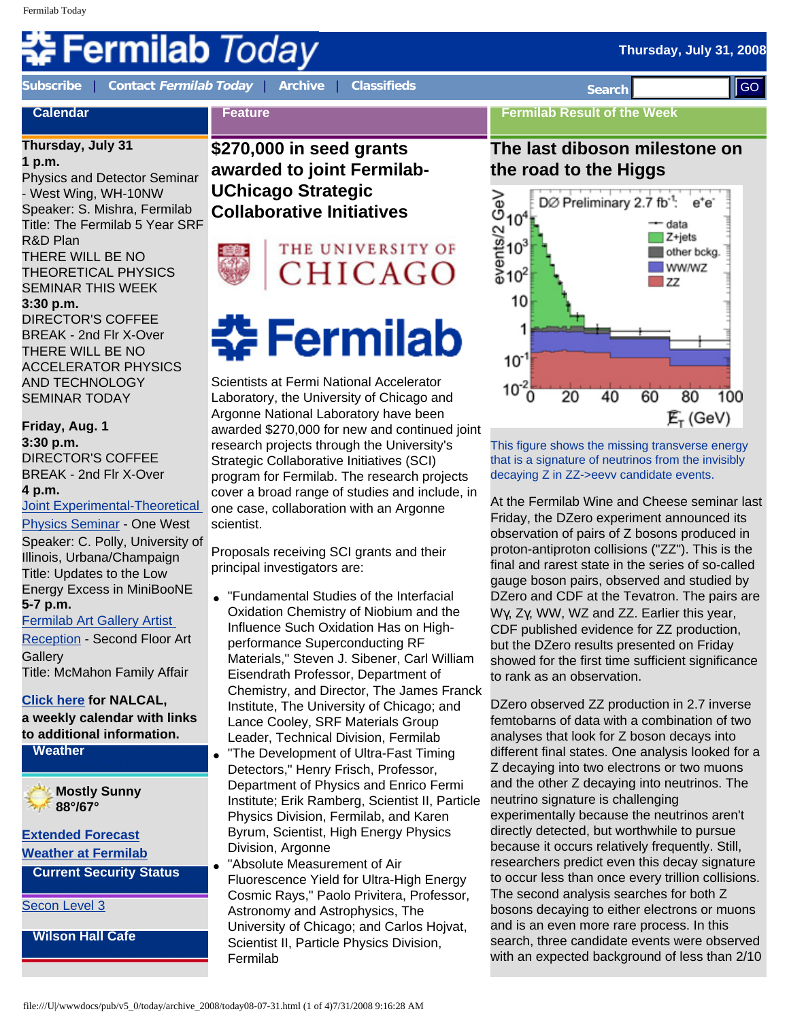# **ermilab** Today

**[Subscribe](http://www.fnal.gov/pub/today/subscription.html)** | **Contact [Fermilab Today](mailto:today@fnal.gov)** | **[Archive](http://www.fnal.gov/pub/today/archive.html)** | **[Classifieds](http://www.fnal.gov/pub/today/classifieds.html) Search** 

**Feature**

## **Calendar**

#### **Thursday, July 31**

**1 p.m.**

Physics and Detector Seminar - West Wing, WH-10NW Speaker: S. Mishra, Fermilab Title: The Fermilab 5 Year SRF R&D Plan THERE WILL BE NO THEORETICAL PHYSICS SEMINAR THIS WEEK **3:30 p.m.**  DIRECTOR'S COFFEE BREAK - 2nd Flr X-Over THERE WILL BE NO ACCELERATOR PHYSICS AND TECHNOLOGY SEMINAR TODAY

#### **Friday, Aug. 1**

**3:30 p.m.** DIRECTOR'S COFFEE BREAK - 2nd Flr X-Over **4 p.m.**

[Joint Experimental-Theoretical](http://theory.fnal.gov/jetp/)  [Physics Seminar](http://theory.fnal.gov/jetp/) - One West

Speaker: C. Polly, University of Illinois, Urbana/Champaign Title: Updates to the Low Energy Excess in MiniBooNE **5-7 p.m.**

[Fermilab Art Gallery Artist](http://www.fnal.gov/pub/Art_Gallery/) 

[Reception](http://www.fnal.gov/pub/Art_Gallery/) - Second Floor Art **Gallery** 

Title: McMahon Family Affair

#### **[Click here](http://www.fnal.gov/directorate/nalcal/nalcal07_28_08.html) for NALCAL,**

**a weekly calendar with links to additional information.**

**Weather**

**Mostly Sunny 88°/67°**

**[Extended Forecast](http://forecast.weather.gov/MapClick.php?CityName=Batavia&state=IL&site=LOT) [Weather at Fermilab](http://www-esh.fnal.gov/pls/default/weather.html)**

**Current Security Status**

[Secon Level 3](http://www.fnal.gov/pub/about/public_affairs/currentstatus.html)

**Wilson Hall Cafe**

**\$270,000 in seed grants awarded to joint Fermilab-UChicago Strategic Collaborative Initiatives** 



Scientists at Fermi National Accelerator Laboratory, the University of Chicago and Argonne National Laboratory have been awarded \$270,000 for new and continued joint research projects through the University's Strategic Collaborative Initiatives (SCI) program for Fermilab. The research projects cover a broad range of studies and include, in one case, collaboration with an Argonne scientist.

Proposals receiving SCI grants and their principal investigators are:

- "Fundamental Studies of the Interfacial Oxidation Chemistry of Niobium and the Influence Such Oxidation Has on Highperformance Superconducting RF Materials," Steven J. Sibener, Carl William Eisendrath Professor, Department of Chemistry, and Director, The James Franck Institute, The University of Chicago; and Lance Cooley, SRF Materials Group Leader, Technical Division, Fermilab
	- "The Development of Ultra-Fast Timing Detectors," Henry Frisch, Professor, Department of Physics and Enrico Fermi Institute; Erik Ramberg, Scientist II, Particle Physics Division, Fermilab, and Karen Byrum, Scientist, High Energy Physics Division, Argonne

"Absolute Measurement of Air Fluorescence Yield for Ultra-High Energy Cosmic Rays," Paolo Privitera, Professor, Astronomy and Astrophysics, The University of Chicago; and Carlos Hojvat, Scientist II, Particle Physics Division, Fermilab

#### **Fermilab Result of the Week**

### **The last diboson milestone on the road to the Higgs**



This figure shows the missing transverse energy that is a signature of neutrinos from the invisibly decaying Z in ZZ->eevv candidate events.

At the Fermilab Wine and Cheese seminar last Friday, the DZero experiment announced its observation of pairs of Z bosons produced in proton-antiproton collisions ("ZZ"). This is the final and rarest state in the series of so-called gauge boson pairs, observed and studied by DZero and CDF at the Tevatron. The pairs are Wγ, Zγ, WW, WZ and ZZ. Earlier this year, CDF published evidence for ZZ production, but the DZero results presented on Friday showed for the first time sufficient significance to rank as an observation.

DZero observed ZZ production in 2.7 inverse femtobarns of data with a combination of two analyses that look for Z boson decays into different final states. One analysis looked for a Z decaying into two electrons or two muons and the other Z decaying into neutrinos. The neutrino signature is challenging experimentally because the neutrinos aren't directly detected, but worthwhile to pursue because it occurs relatively frequently. Still, researchers predict even this decay signature to occur less than once every trillion collisions. The second analysis searches for both Z bosons decaying to either electrons or muons and is an even more rare process. In this search, three candidate events were observed with an expected background of less than 2/10 Figure 2.3d The State of Archives of 2008 and 2008 9:16:28 AM Government and 2008 2.2d The Context of Archives and 2008 2.2d The Context of Archives and 2008 2.2d The Context of Archives and 2008 2.2d The Context of Archi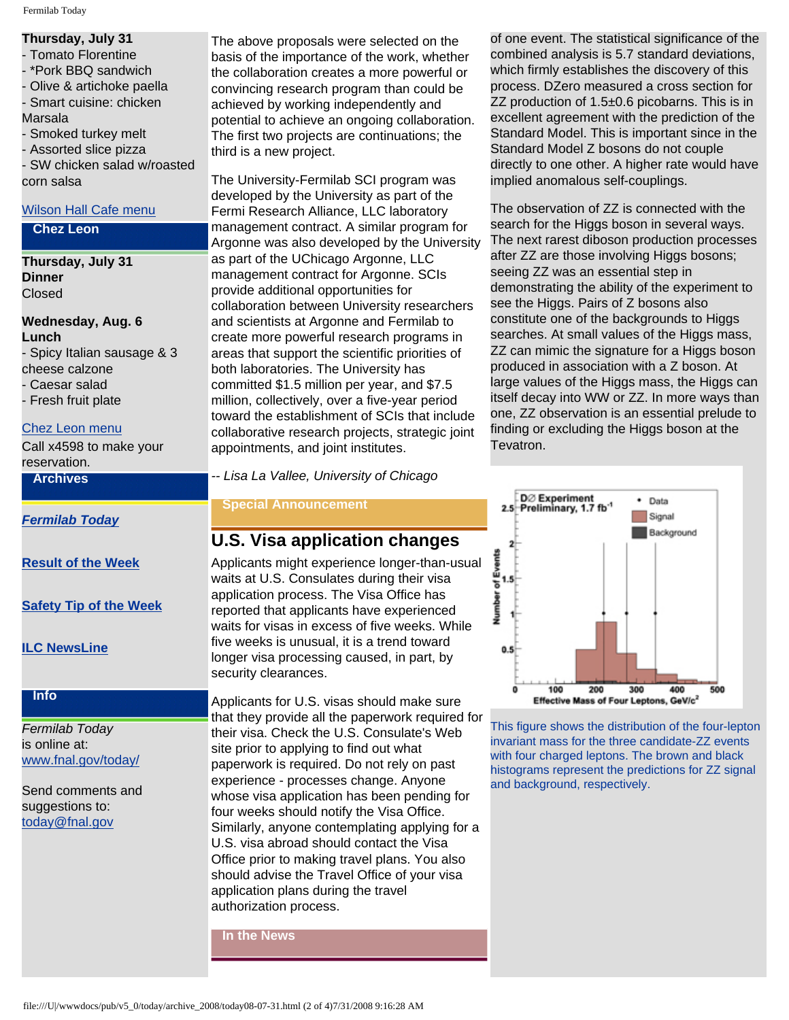#### **Thursday, July 31**

- Tomato Florentine
- \*Pork BBQ sandwich
- Olive & artichoke paella - Smart cuisine: chicken
- Marsala
- Smoked turkey melt
- Assorted slice pizza

- SW chicken salad w/roasted corn salsa

#### [Wilson Hall Cafe menu](http://bss.fnal.gov/cafe/index.html)

#### **Chez Leon**

**Thursday, July 31 Dinner** Closed

#### **Wednesday, Aug. 6 Lunch** - Spicy Italian sausage & 3 cheese calzone

- Caesar salad
- Fresh fruit plate

#### [Chez Leon menu](http://bss.fnal.gov/chezleon/index.html)

Call x4598 to make your reservation.

#### **Archives**

*[Fermilab Today](http://www.fnal.gov/pub/today/archive.html)*

**[Result of the Week](http://www.fnal.gov/pub/today/resultoftheweek/index.html)**

**[Safety Tip of the Week](http://www.fnal.gov/pub/today/safety/)**

**[ILC NewsLine](http://www.linearcollider.org/newsline/archive/index.html)**

#### **Info**

*Fermilab Today* is online at: [www.fnal.gov/today/](http://www.fnal.gov/today/)

Send comments and suggestions to: [today@fnal.gov](mailto:today@fnal.gov)

The above proposals were selected on the basis of the importance of the work, whether the collaboration creates a more powerful or convincing research program than could be achieved by working independently and potential to achieve an ongoing collaboration. The first two projects are continuations; the third is a new project.

The University-Fermilab SCI program was developed by the University as part of the Fermi Research Alliance, LLC laboratory management contract. A similar program for Argonne was also developed by the University as part of the UChicago Argonne, LLC management contract for Argonne. SCIs provide additional opportunities for collaboration between University researchers and scientists at Argonne and Fermilab to create more powerful research programs in areas that support the scientific priorities of both laboratories. The University has committed \$1.5 million per year, and \$7.5 million, collectively, over a five-year period toward the establishment of SCIs that include collaborative research projects, strategic joint appointments, and joint institutes.

*-- Lisa La Vallee, University of Chicago*

#### **Special Announcement**

#### **U.S. Visa application changes**

Applicants might experience longer-than-usual waits at U.S. Consulates during their visa application process. The Visa Office has reported that applicants have experienced waits for visas in excess of five weeks. While five weeks is unusual, it is a trend toward longer visa processing caused, in part, by security clearances.

Applicants for U.S. visas should make sure that they provide all the paperwork required for their visa. Check the U.S. Consulate's Web site prior to applying to find out what paperwork is required. Do not rely on past experience - processes change. Anyone whose visa application has been pending for four weeks should notify the Visa Office. Similarly, anyone contemplating applying for a U.S. visa abroad should contact the Visa Office prior to making travel plans. You also should advise the Travel Office of your visa application plans during the travel authorization process.

**In the News**

of one event. The statistical significance of the combined analysis is 5.7 standard deviations, which firmly establishes the discovery of this process. DZero measured a cross section for ZZ production of 1.5±0.6 picobarns. This is in excellent agreement with the prediction of the Standard Model. This is important since in the Standard Model Z bosons do not couple directly to one other. A higher rate would have implied anomalous self-couplings.

The observation of ZZ is connected with the search for the Higgs boson in several ways. The next rarest diboson production processes after ZZ are those involving Higgs bosons; seeing ZZ was an essential step in demonstrating the ability of the experiment to see the Higgs. Pairs of Z bosons also constitute one of the backgrounds to Higgs searches. At small values of the Higgs mass, ZZ can mimic the signature for a Higgs boson produced in association with a Z boson. At large values of the Higgs mass, the Higgs can itself decay into WW or ZZ. In more ways than one, ZZ observation is an essential prelude to finding or excluding the Higgs boson at the Tevatron.



This figure shows the distribution of the four-lepton invariant mass for the three candidate-ZZ events with four charged leptons. The brown and black histograms represent the predictions for ZZ signal and background, respectively.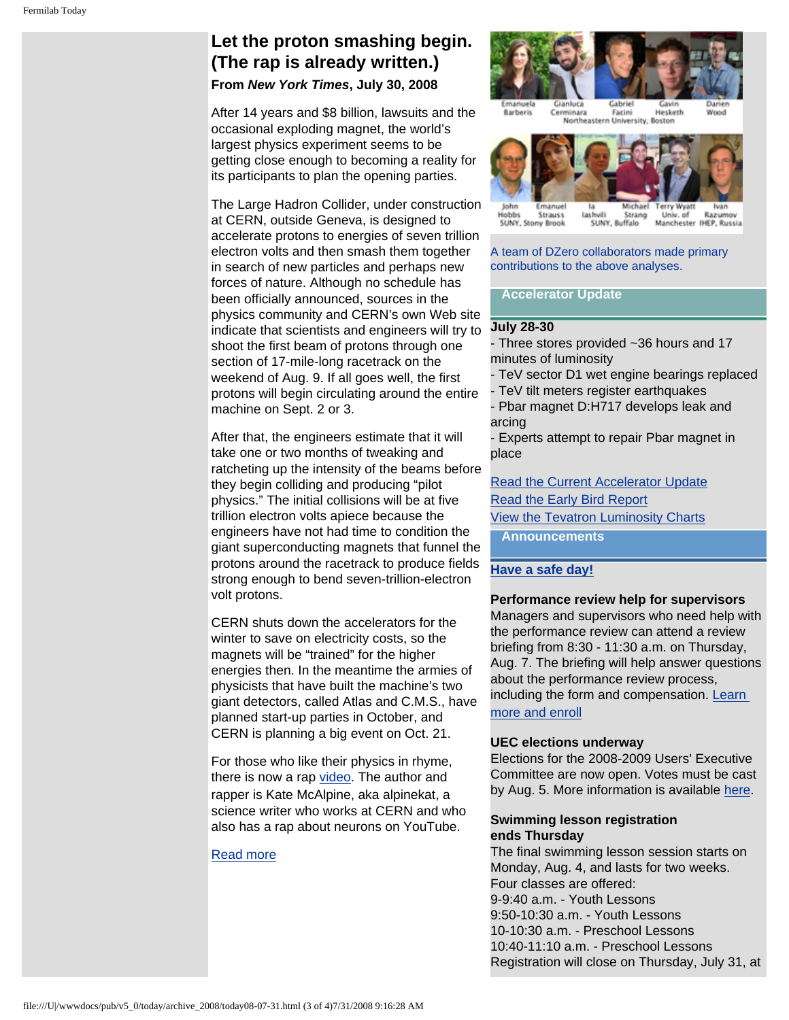#### **Let the proton smashing begin. (The rap is already written.) From** *New York Times***, July 30, 2008**

After 14 years and \$8 billion, lawsuits and the occasional exploding magnet, the world's largest physics experiment seems to be getting close enough to becoming a reality for its participants to plan the opening parties.

The Large Hadron Collider, under construction at CERN, outside Geneva, is designed to accelerate protons to energies of seven trillion electron volts and then smash them together in search of new particles and perhaps new forces of nature. Although no schedule has been officially announced, sources in the physics community and CERN's own Web site indicate that scientists and engineers will try to shoot the first beam of protons through one section of 17-mile-long racetrack on the weekend of Aug. 9. If all goes well, the first protons will begin circulating around the entire machine on Sept. 2 or 3.

After that, the engineers estimate that it will take one or two months of tweaking and ratcheting up the intensity of the beams before they begin colliding and producing "pilot physics." The initial collisions will be at five trillion electron volts apiece because the engineers have not had time to condition the giant superconducting magnets that funnel the protons around the racetrack to produce fields strong enough to bend seven-trillion-electron volt protons.

CERN shuts down the accelerators for the winter to save on electricity costs, so the magnets will be "trained" for the higher energies then. In the meantime the armies of physicists that have built the machine's two giant detectors, called Atlas and C.M.S., have planned start-up parties in October, and CERN is planning a big event on Oct. 21.

For those who like their physics in rhyme, there is now a rap [video](http://www.youtube.com/watch?v=j50ZssEojtM). The author and rapper is Kate McAlpine, aka alpinekat, a science writer who works at CERN and who also has a rap about neurons on YouTube.

#### [Read more](http://www.nytimes.com/2008/07/29/science/29cernrap.html?_r=1&ref=science&oref=slogin)



lohn Emanuel Michael lashvili Hobbt **Strauss** Strang Razumov Univ. of Manchester IHEP, Russia SUNY, Stony Brook SUNY, Buffalo

A team of DZero collaborators made primary contributions to the above analyses.

#### **Accelerator Update**

#### **July 28-30**

- Three stores provided ~36 hours and 17 minutes of luminosity

- TeV sector D1 wet engine bearings replaced
- TeV tilt meters register earthquakes

- Pbar magnet D:H717 develops leak and arcing

- Experts attempt to repair Pbar magnet in place

[Read the Current Accelerator Update](http://www.fnal.gov/pub/news08/update.html) [Read the Early Bird Report](http://www-bd.fnal.gov/earlybird/ebird.html) [View the Tevatron Luminosity Charts](http://www.fnal.gov/pub/now/tevlum.html) **Announcements**

#### **[Have a safe day!](http://www.fnal.gov/pub/about/safety/profiles.html)**

**Performance review help for supervisors**  Managers and supervisors who need help with the performance review can attend a review briefing from 8:30 - 11:30 a.m. on Thursday, Aug. 7. The briefing will help answer questions about the performance review process, including the form and compensation. [Learn](http://www-esh.fnal.gov/pls/default/course_summary.full_descr?this_course_code=WDRS0025&this_instr_type_code=CR&this_fermi_id=00000X)

#### [more and enroll](http://www-esh.fnal.gov/pls/default/course_summary.full_descr?this_course_code=WDRS0025&this_instr_type_code=CR&this_fermi_id=00000X)

#### **UEC elections underway**

Elections for the 2008-2009 Users' Executive Committee are now open. Votes must be cast by Aug. 5. More information is available [here.](http://www.fnal.gov/orgs/fermilab_users_org/elections/2008/election.html)

#### **Swimming lesson registration ends Thursday**

The final swimming lesson session starts on Monday, Aug. 4, and lasts for two weeks. Four classes are offered: 9-9:40 a.m. - Youth Lessons 9:50-10:30 a.m. - Youth Lessons 10-10:30 a.m. - Preschool Lessons 10:40-11:10 a.m. - Preschool Lessons Registration will close on Thursday, July 31, at